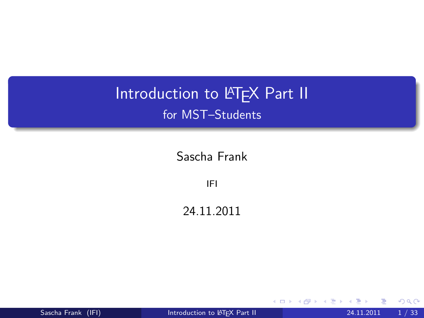# Introduction to LATEX Part II for MST–Students

Sascha Frank

IFI

24.11.2011

Sascha Frank (IFI) **[Introduction to L](#page-114-0)ATEX Part II** 24.11.2011 1 / 33

4 0 8

<span id="page-0-0"></span>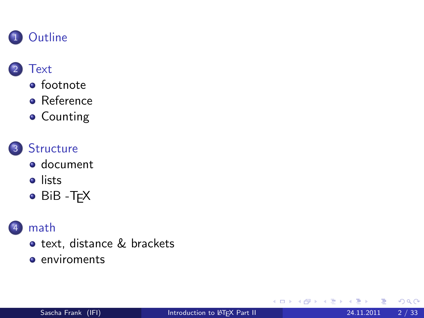

### **[Text](#page-3-0)**

- **•** [footnote](#page-3-0)
- **•** [Reference](#page-6-0)
- **•** [Counting](#page-10-0)



### 3 [Structure](#page-30-0)

- [document](#page-30-0)
- **o** [lists](#page-42-0)
- $\bullet$  BiB -T<sub>F</sub>X

### [math](#page-64-0)

- o [text, distance & brackets](#page-64-0)
- **e** [enviroments](#page-98-0)

4 0 8

 $\rightarrow$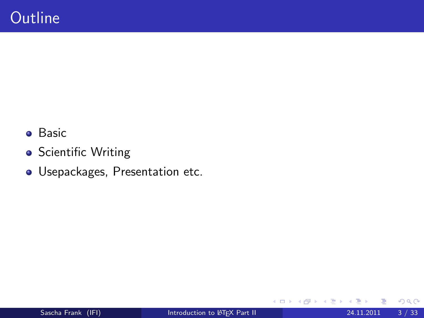- **•** Basic
- **•** Scientific Writing
- Usepackages, Presentation etc.

 $\leftarrow$   $\Box$ 

<span id="page-2-0"></span>す唐をす  $\rightarrow$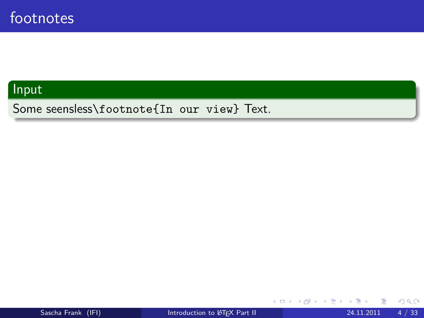Some seensless\footnote{In our view} Text.

 $\leftarrow$   $\Box$ 

×

- 64

す唐をす

<span id="page-3-0"></span>в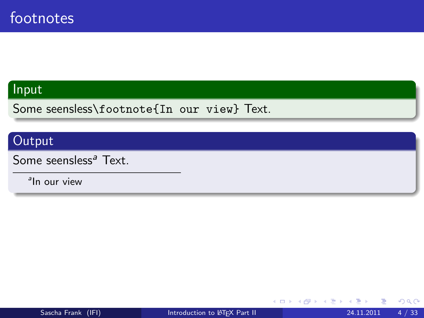Some seensless\footnote{In our view} Text.

### Output

Some seensless<sup>a</sup> Text.

<sup>a</sup>ln our view

4 日下

す唐をす

÷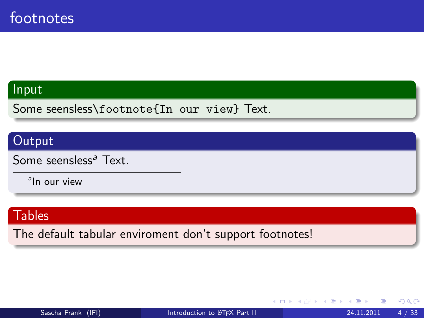Some seensless\footnote{In our view} Text.

### **Output**

Some seensless<sup>a</sup> Text.

<sup>a</sup>ln our view

### **Tables**

The default tabular enviroment don't support footnotes!

4 0 8

∋ x k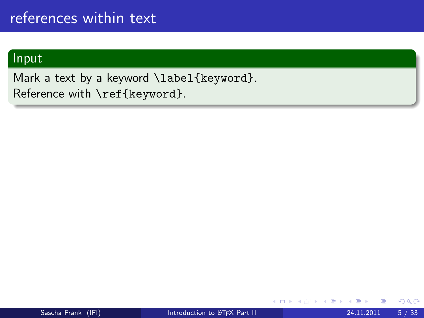<span id="page-6-1"></span>Mark a text by a keyword \label{keyword}. Reference with \ref{keyword}.

4 0 8

<span id="page-6-0"></span> $2Q$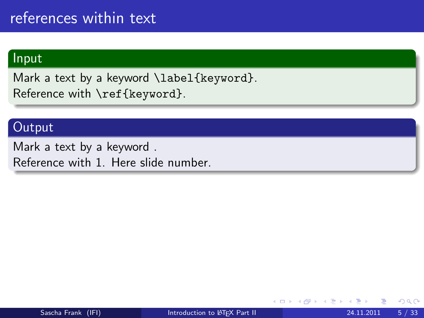Mark a text by a keyword \label{keyword}. Reference with \ref{keyword}.

### **Output**

Mark a text by a keyword . Reference with [1.](#page-6-1) Here slide number.

4 0 8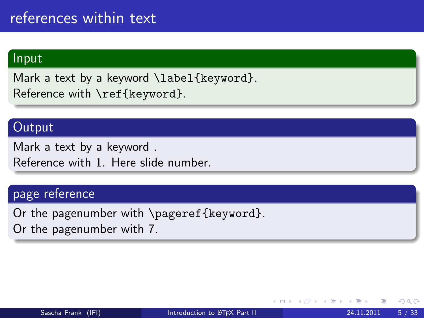Mark a text by a keyword \label{keyword}. Reference with \ref{keyword}.

### **Output**

Mark a text by a keyword . Reference with [1.](#page-6-1) Here slide number.

#### page reference

Or the pagenumber with \pageref{keyword}.

Or the pagenumber with 7.

 $\leftarrow$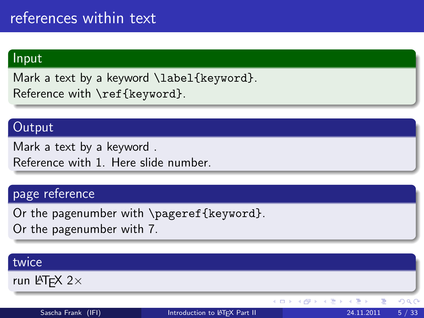Mark a text by a keyword \label{keyword}. Reference with \ref{keyword}.

### **Output**

Mark a text by a keyword . Reference with [1.](#page-6-1) Here slide number.

#### page reference

Or the pagenumber with \pageref{keyword}.

Or the pagenumber with 7.

#### twice run  $\text{MTF}X$  2 $\times$  $QQ$ 4 日下 ∢母 Sascha Frank (IFI) [Introduction to L](#page-0-0)ATEX Part II 24.11.2011 5 / 33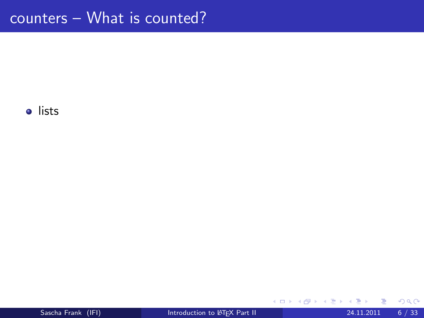<span id="page-10-0"></span>в

**K ロ ⊁ K 倒 ≯ K 差 ≯ K**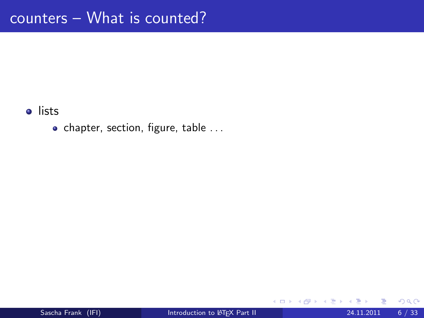$\bullet$  chapter, section, figure, table ...

4 日下

 $\rightarrow$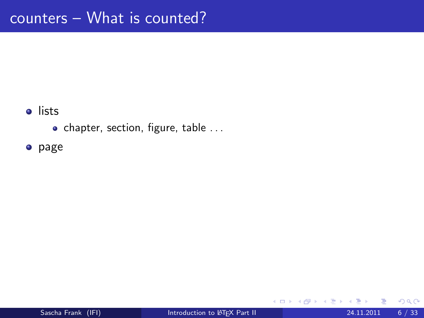$\bullet$  chapter, section, figure, table ...

page

4 日下

 $\rightarrow$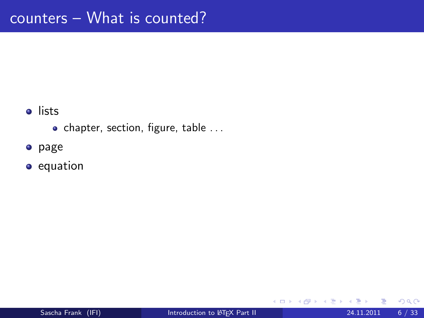- $\bullet$  chapter, section, figure, table ...
- **o** page
- **•** equation

4 0 8

 $\rightarrow$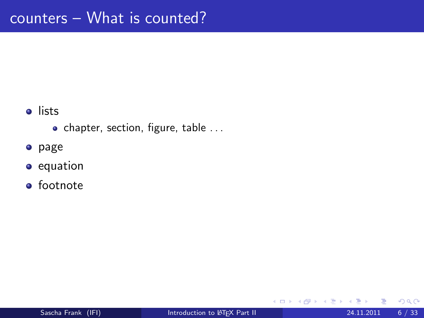- $\bullet$  chapter, section, figure, table ...
- **o** page

#### **•** equation

**•** footnote

4 0 8

 $\rightarrow$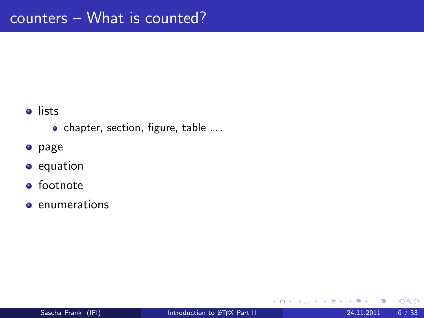- $\bullet$  chapter, section, figure, table ...
- **o** page

#### **•** equation

- **o** footnote
- **e** enumerations

4 0 8

 $\rightarrow$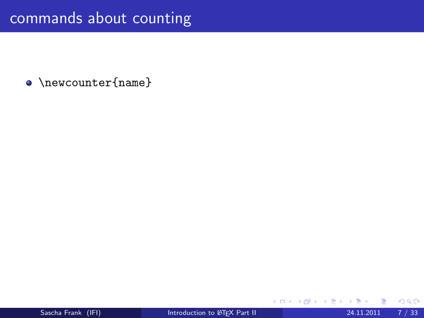• \newcounter{name}

4 日下

 $\rightarrow$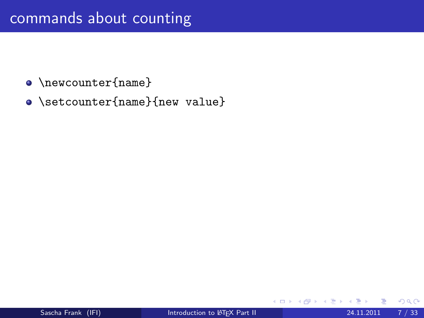- $\bullet$  \newcounter{name}
- \setcounter{name}{new value}

4 0 8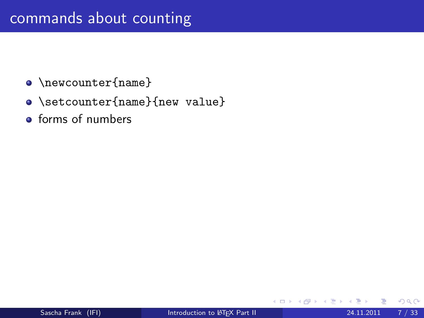- \newcounter{name}
- \setcounter{name}{new value}
- **•** forms of numbers

4 0 8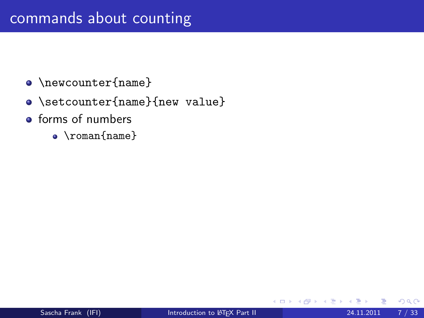- $\bullet$  \newcounter{name}
- \setcounter{name}{new value}
- **•** forms of numbers
	- \roman{name}

4 0 8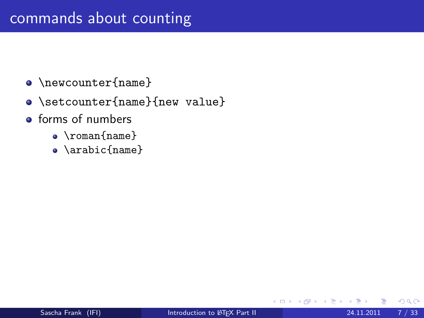- $\bullet$  \newcounter{name}
- \setcounter{name}{new value}
- **o** forms of numbers
	- \roman{name}
	- \arabic{name}

4 0 8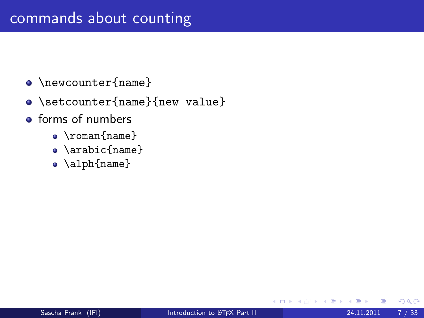- $\bullet$  \newcounter{name}
- \setcounter{name}{new value}
- **o** forms of numbers
	- \roman{name}
	- \arabic{name}
	- \alph{name}

4 0 8

 $QQ$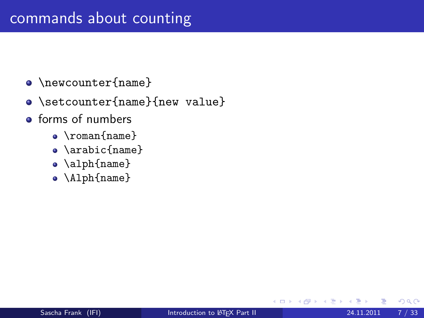- $\bullet$  \newcounter{name}
- \setcounter{name}{new value}
- **o** forms of numbers
	- \roman{name}
	- \arabic{name}
	- \alph{name}
	- \Alph{name}

4 0 8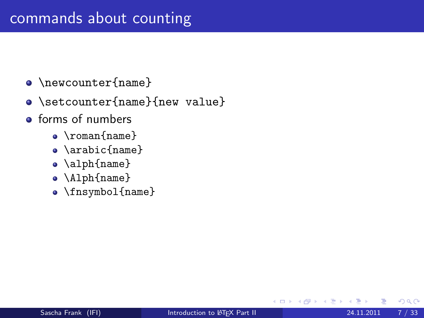- $\bullet$  \newcounter{name}
- \setcounter{name}{new value}
- **o** forms of numbers
	- \roman{name}
	- \arabic{name}
	- \alph{name}
	- \Alph{name}
	- \fnsymbol{name}

**∢ ⊡**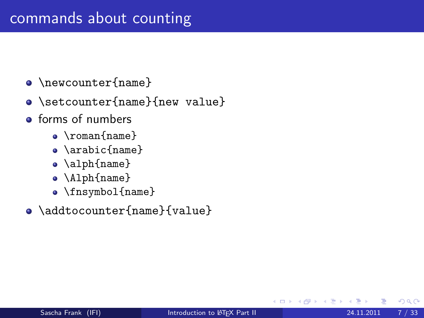- $\bullet$  \newcounter{name}
- \setcounter{name}{new value}
- **o** forms of numbers
	- \roman{name}
	- \arabic{name}
	- \alph{name}
	- \Alph{name}
	- \fnsymbol{name}
- \addtocounter{name}{value}

 $\leftarrow$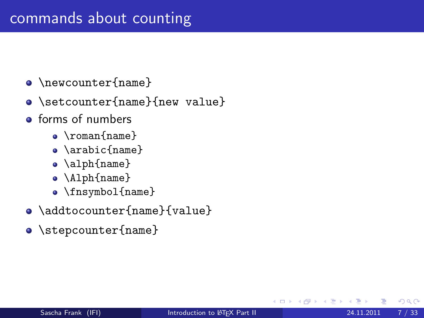- $\bullet$  \newcounter{name}
- \setcounter{name}{new value}
- **o** forms of numbers
	- \roman{name}
	- \arabic{name}
	- \alph{name}
	- \Alph{name}
	- \fnsymbol{name}
- \addtocounter{name}{value}
- o \stepcounter{name}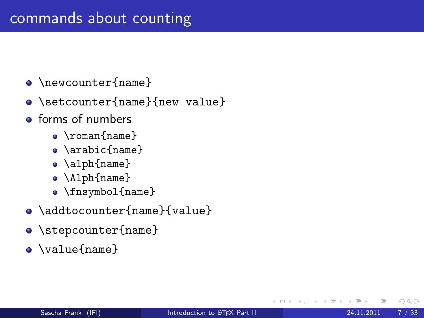- $\bullet$  \newcounter{name}
- \setcounter{name}{new value}
- **o** forms of numbers
	- \roman{name}
	- \arabic{name}
	- \alph{name}
	- \Alph{name}
	- \fnsymbol{name}
- \addtocounter{name}{value}
- o \stepcounter{name}
- \value{name}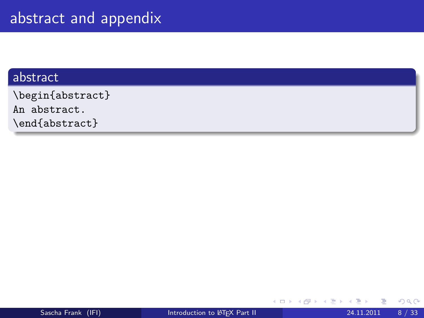#### abstract

\begin{abstract} An abstract. \end{abstract}

4 日下

 $\rightarrow$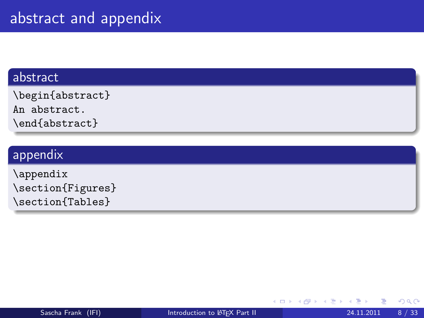#### abstract

\begin{abstract}

An abstract.

\end{abstract}

### appendix

\appendix \section{Figures} \section{Tables}

4 0 8

 $\rightarrow$ 

 $QQ$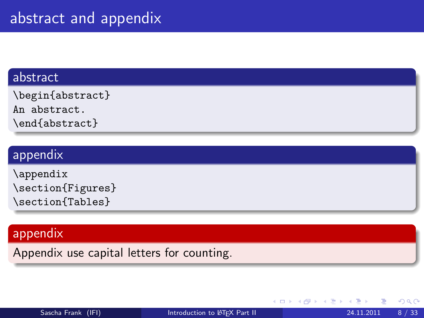#### abstract

\begin{abstract}

An abstract.

\end{abstract}

#### appendix

\appendix \section{Figures} \section{Tables}

### appendix

Appendix use capital letters for counting.

4 0 8

 $QQ$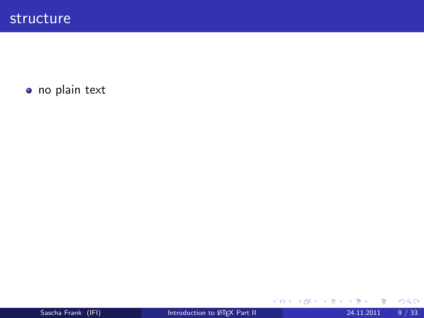o no plain text

<span id="page-30-0"></span>J.

メロト メ都 トメ ヨ トメ ヨ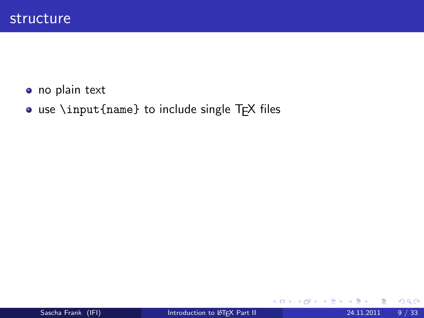- o no plain text
- use \input{name} to include single TFX files

4 0 8

化重 的人

**SILLER**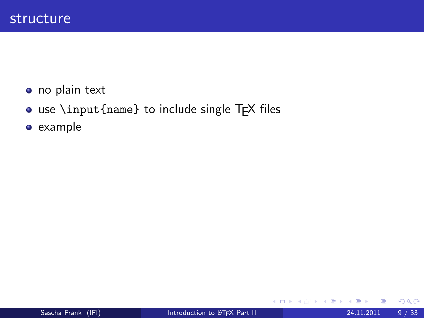- o no plain text
- use \input{name} to include single TFX files
- example

す唐をす

 $\rightarrow$ 

4 0 8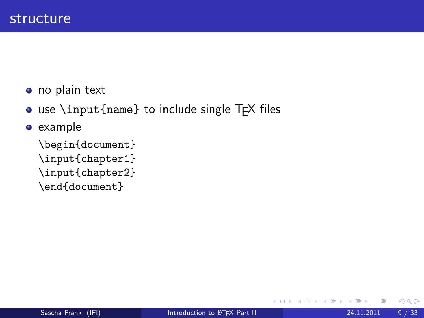o no plain text

• use \input{name} to include single TFX files

**e** example

\begin{document} \input{chapter1} \input{chapter2} \end{document}

4 0 8

Э×.

 $QQ$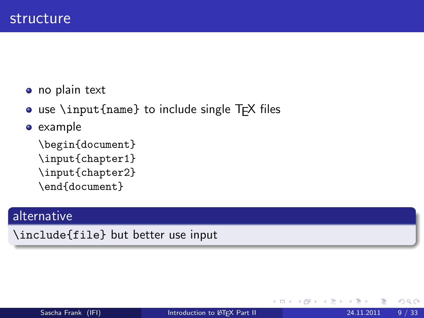• no plain text

o use \input{name} to include single TFX files

**e** example

\begin{document} \input{chapter1} \input{chapter2} \end{document}

#### alternative

\include{file} but better use input

 $\leftarrow$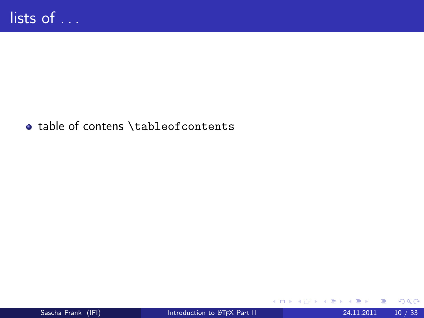#### table of contens \tableofcontents

в

**K ロ ⊁ K 倒 ≯ K 差 ≯ K**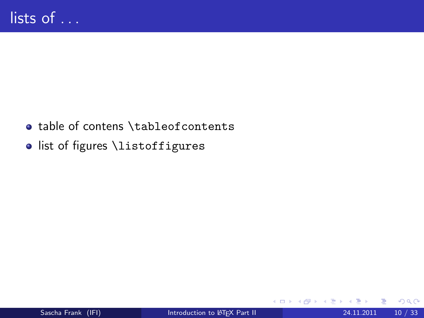- table of contens \tableofcontents
- o list of figures \listoffigures

4 日下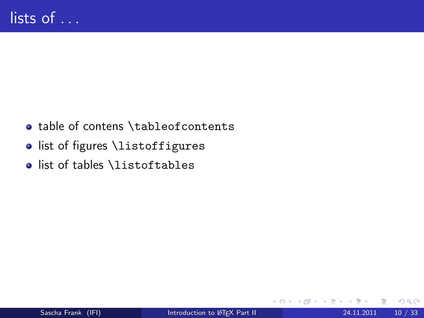- table of contens \tableofcontents
- o list of figures \listoffigures
- list of tables \listoftables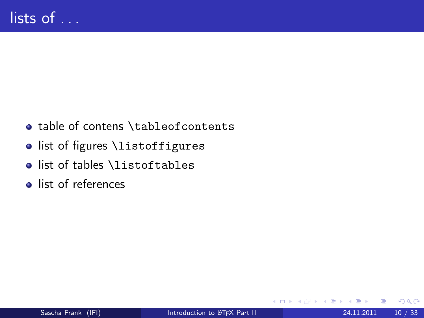- table of contens \tableofcontents
- o list of figures \listoffigures
- list of tables \listoftables
- list of references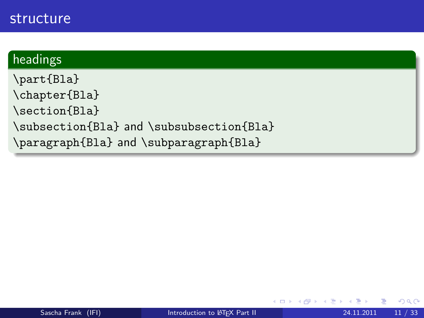## structure

#### headings

\part{Bla} \chapter{Bla} \section{Bla} \subsection{Bla} and \subsubsection{Bla} \paragraph{Bla} and \subparagraph{Bla}

4 0 8

4 B K 4

 $2Q$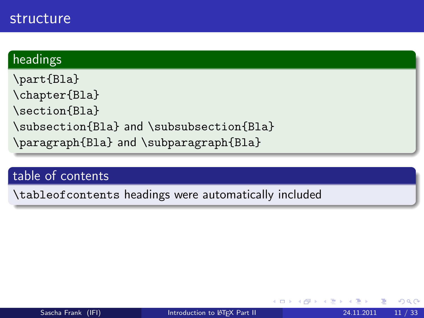## structure

#### headings

\part{Bla} \chapter{Bla} \section{Bla} \subsection{Bla} and \subsubsection{Bla} \paragraph{Bla} and \subparagraph{Bla}

#### table of contents

\tableofcontents headings were automatically included

4 0 8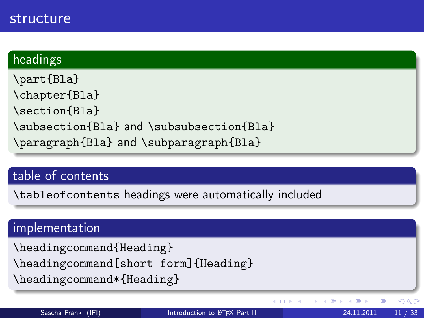## structure

#### headings

\part{Bla} \chapter{Bla} \section{Bla} \subsection{Bla} and \subsubsection{Bla} \paragraph{Bla} and \subparagraph{Bla}

#### table of contents

\tableofcontents headings were automatically included

#### implementation

\headingcommand{Heading} \headingcommand[short form]{Heading}

\headingcommand\*{Heading}

メロメ メ都 メメ きょくき

 $QQ$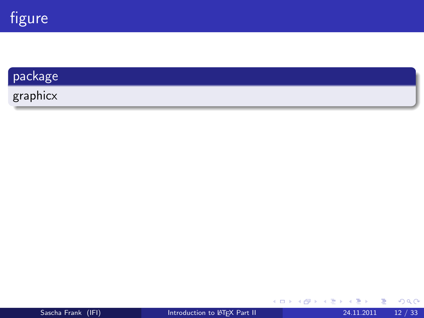

#### package

graphicx

活 þ.

メロト メ都 トメ ヨ トメ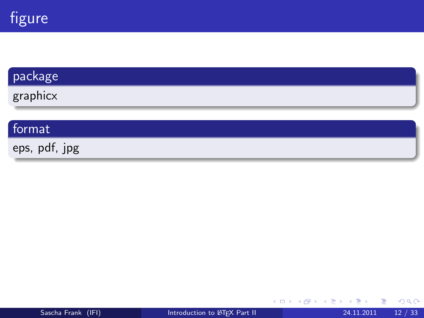

# package graphicx

## format

eps, pdf, jpg

 $\rightarrow$   $\equiv$   $\rightarrow$   $\rightarrow$ Þ þ.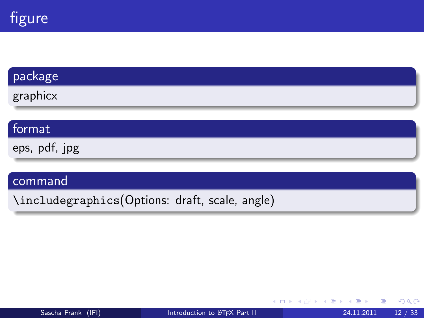

## package

graphicx

#### format

eps, pdf, jpg

#### command

\includegraphics(Options: draft, scale, angle)

 $298$ 

Brix 14

4 0 8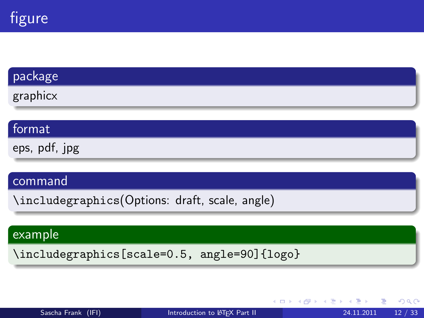

#### package

graphicx

#### format

eps, pdf, jpg

#### command

\includegraphics(Options: draft, scale, angle)

#### example

\includegraphics[scale=0.5, angle=90]{logo}

| Sascha Frank (IFI) |  |
|--------------------|--|
|                    |  |

**← ロ ▶ → イ 同** 

4. B. K. 4.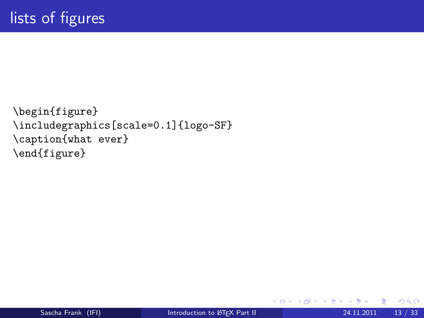```
\begin{figure}
\includegraphics[scale=0.1]{logo-SF}
\caption{what ever}
\end{figure}
```
4 日下

→ 何 ▶

医毛管 医牙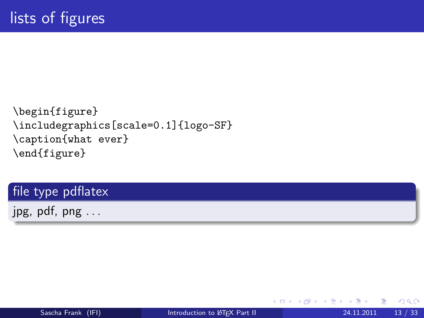```
\begin{figure}
\includegraphics[scale=0.1]{logo-SF}
\caption{what ever}
\end{figure}
```
## file type pdflatex

jpg, pdf, png . . .

4 0 8

Э×

 $QQ$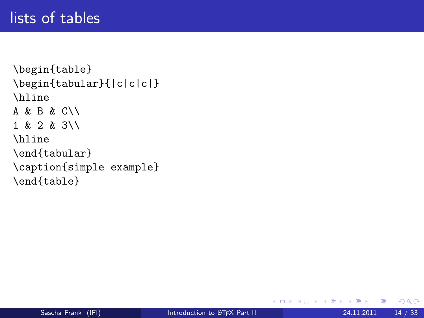# lists of tables

```
\begin{table}
\begin{tabular}{|c|c|c|}
\hline
A & B & C\\
1 & 2 & 3\\
\hline
\end{tabular}
\caption{simple example}
\end{table}
```
Þ

 $\mathcal{A} \cap \mathcal{B}$   $\rightarrow$   $\mathcal{A} \cap \mathcal{B}$   $\rightarrow$   $\mathcal{A}$ 

4 D F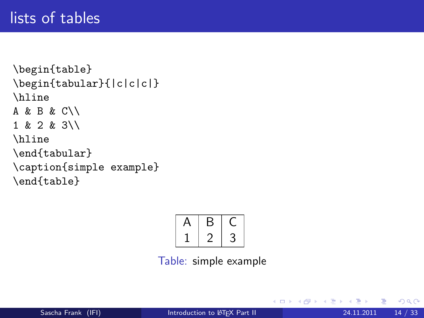```
\begin{table}
\begin{tabular}{|c|c|c|}
\hline
A & B & C\\
1 & 2 & 3\\
\hline
\end{tabular}
\caption{simple example}
\end{table}
```

Table: simple example

- 4 重 8 3

4 D F

→ 何 ▶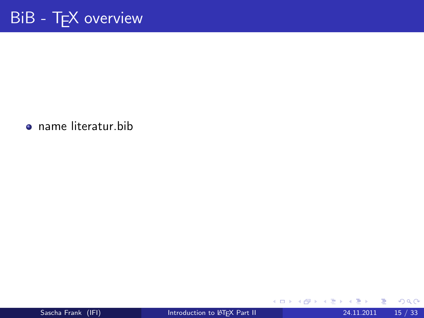name literatur.bib

э

メロト メ都 トメ ヨ トメ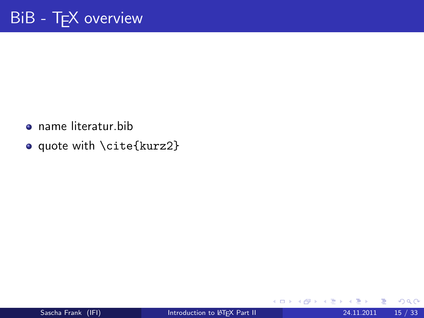- name literatur.bib
- o quote with \cite{kurz2}

4 日下

4 B K 4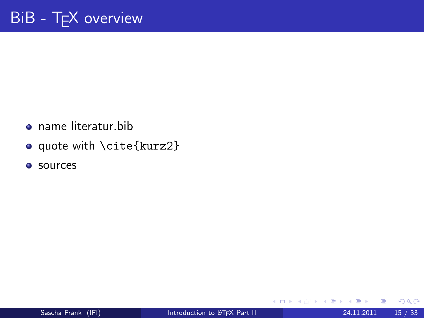- name literatur.bib
- o quote with \cite{kurz2}
- **o** sources

4 日下

医高头头

 $\rightarrow$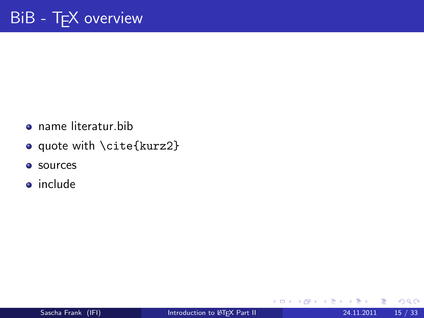- name literatur.bib
- o quote with \cite{kurz2}
- **o** sources
- include

4 B K 4 - 64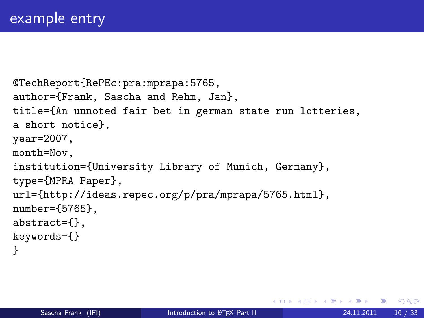```
@TechReport{RePEc:pra:mprapa:5765,
author={Frank, Sascha and Rehm, Jan},
title={An unnoted fair bet in german state run lotteries,
a short notice},
year=2007,
month=Nov,
institution={University Library of Munich, Germany},
type={MPRA Paper},
url={http://ideas.repec.org/p/pra/mprapa/5765.html},
number={5765},
abstract={},
keywords={}
}
```
 $\Omega$ 

スタース ミドス ミドリ ミ

4 0 8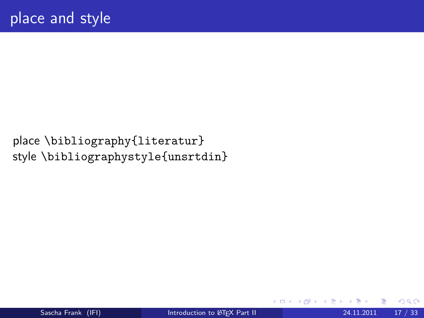place \bibliography{literatur} style \bibliographystyle{unsrtdin}

4 0 8

Э×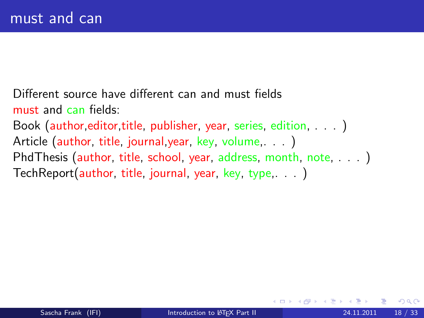Different source have different can and must fields must and can fields: Book (author,editor,title, publisher, year, series, edition, . . . ) Article (author, title, journal, year, key, volume, ...) PhdThesis (author, title, school, year, address, month, note, . . . ) TechReport(author, title, journal, year, key, type,. . . )

 $\Omega$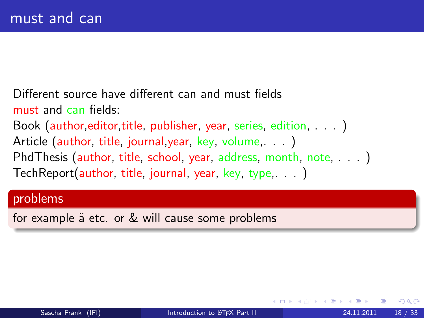Different source have different can and must fields must and can fields: Book (author, editor, title, publisher, year, series, edition, . . . ) Article (author, title, journal, year, key, volume, ...) PhdThesis (author, title, school, year, address, month, note, ...) TechReport(author, title, journal, year, key, type,. . . )

#### problems

for example ä etc. or & will cause some problems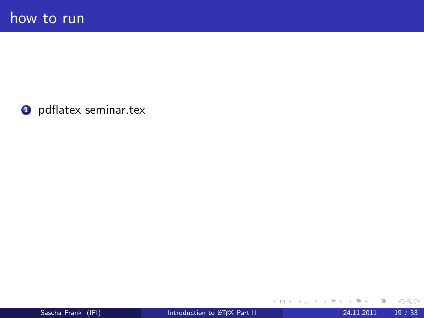**O** pdflatex seminar.tex

重 ×

メロト メ都 トメ ヨ トメ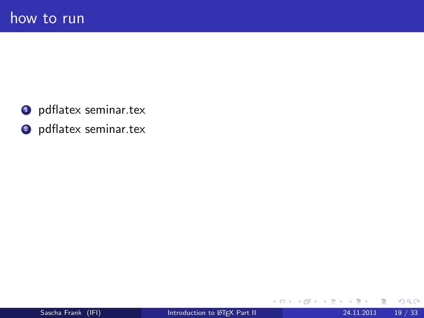- **O** pdflatex seminar.tex
- <sup>2</sup> pdflatex seminar.tex

**≮ロ ▶ (伊 )** 

医心室 医心室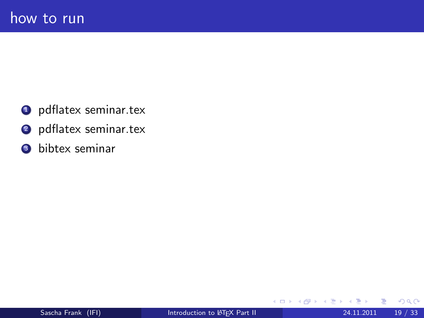- **O** pdflatex seminar.tex
- <sup>2</sup> pdflatex seminar.tex
- <sup>3</sup> bibtex seminar

- ∢ n⊡  $\rightarrow$ ×. ⊞ ⊁ ⊣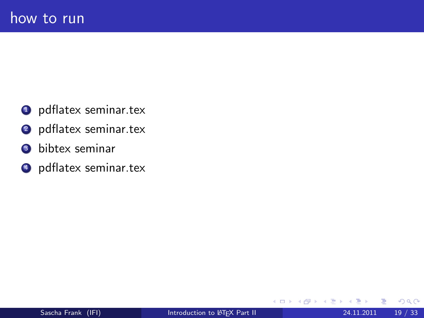- **O** pdflatex seminar.tex
- <sup>2</sup> pdflatex seminar.tex
- <sup>3</sup> bibtex seminar
- **4** pdflatex seminar.tex

э  $\rightarrow$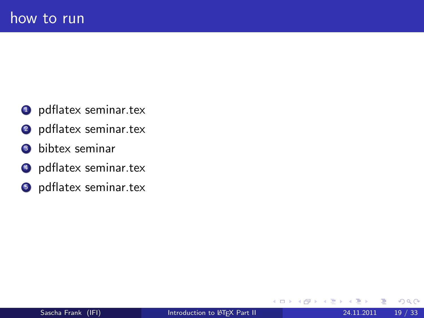- **O** pdflatex seminar.tex
- <sup>2</sup> pdflatex seminar.tex
- <sup>3</sup> bibtex seminar
- **4** pdflatex seminar.tex
- **O** pdflatex seminar.tex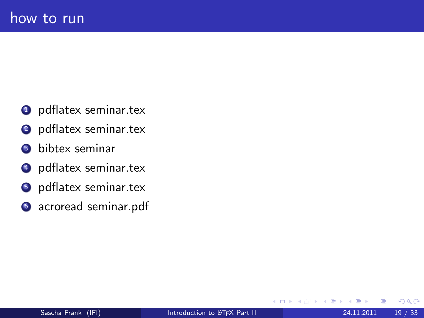- **1** pdflatex seminar.tex
- <sup>2</sup> pdflatex seminar.tex
- <sup>3</sup> bibtex seminar
- **4** pdflatex seminar.tex
- **5** pdflatex seminar.tex
- **6** acroread seminar.pdf

 $\Omega$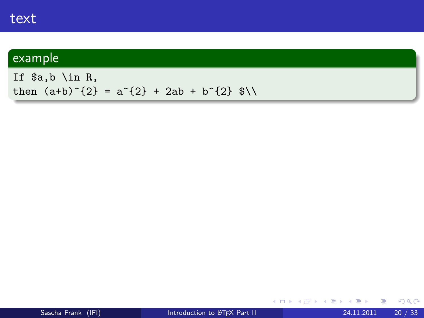If \$a,b \in R, then  $(a+b)^{2} = a^{2} + 2ab + b^{2} + 2ab$ 

メロメ メ御 メメ きょくきょ

 $E = 990$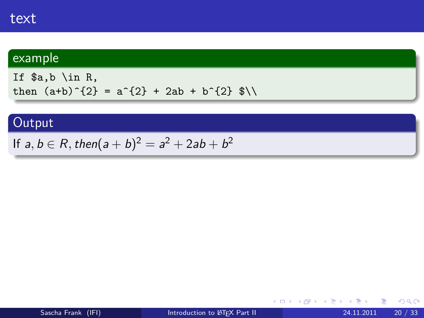If  $a,b$  \in R, then  $(a+b)^{2} = a^{2} + 2ab + b^{2} + 2ab$ 

## **Output**

If  $a,b\in R,$  then $(a+b)^2=a^2+2ab+b^2$ 

医单位 医单位

4 0 8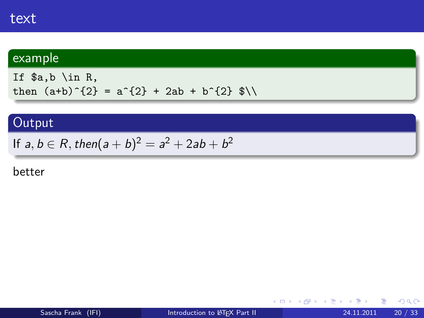If  $a,b$  \in R, then  $(a+b)^{2} = a^{2} + 2ab + b^{2} + 2ab$ 

# **Output**

If  $a,b\in R,$  then $(a+b)^2=a^2+2ab+b^2$ 

#### better

医电影 化重氮

4 0 8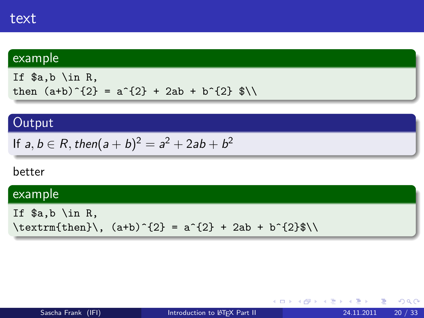If  $a,b \in \mathbb{R}$ , then  $(a+b)^{2} = a^{2} + 2ab + b^{2} + 2ab$ 

## **Output**

If 
$$
a, b \in R
$$
, then  $(a + b)^2 = a^2 + 2ab + b^2$ 

#### better

#### example

If \$a,b \in R,  $\text{trm{then}}\, (a+b)^{2} = a^{2} + 2ab + b^{2} \$ 

医毛囊 医牙骨下的

4 0 8

 $\equiv$  990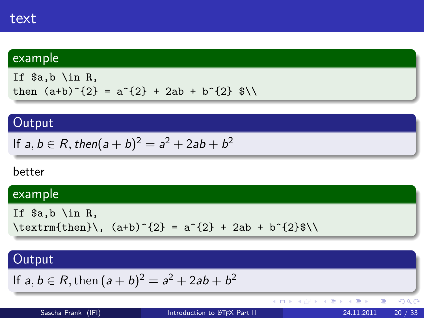If \$a,b \in R, then  $(a+b)^{2} = a^{2} + 2ab + b^{2} + 2ab$ 

# **Output**

If 
$$
a, b \in R
$$
, then  $(a + b)^2 = a^2 + 2ab + b^2$ 

#### better

## example

If 
$$
\aa, b \in R
$$
,  
\textrm{then}\, (a+b)^{2} = a^{2} + 2ab + b^{2}\*\

# **Output**

If 
$$
a, b \in R
$$
, then  $(a + b)^2 = a^2 + 2ab + b^2$ 

(ロ) ( d )

重

 $299$ 

K 등 > K 등 >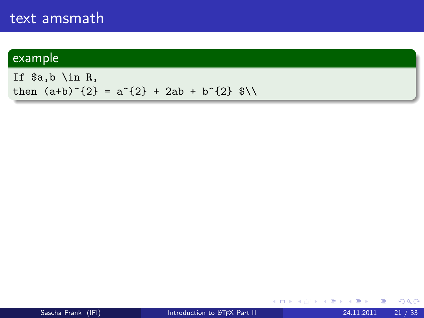If \$a,b \in R, then  $(a+b)^{2} = a^{2} + 2ab + b^{2} + 2ab$ 

K ロ ▶ K 個 ▶ K 로 ▶ K 로 ▶ - 로 - K 9 Q @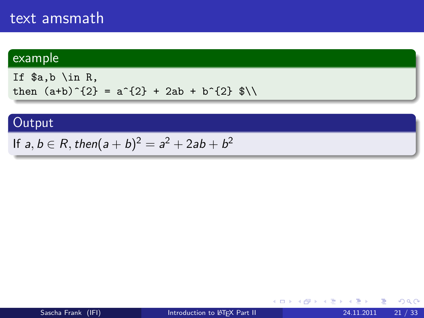If  $a,b \in \mathbb{R}$ , then  $(a+b)^{2} = a^{2} + 2ab + b^{2} + 2ab$ 

## **Output**

If  $a,b\in R,$  then $(a+b)^2=a^2+2ab+b^2$ 

④重き ④重き

4 0 8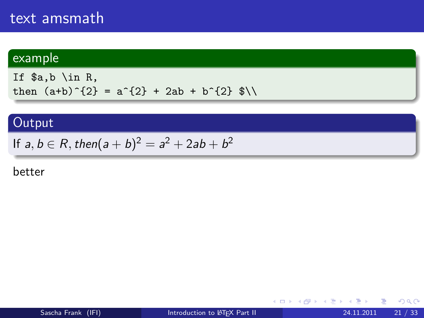If  $a,b \in \mathbb{R}$ , then  $(a+b)^{2} = a^{2} + 2ab + b^{2} + 2ab$ 

## **Output**

If  $a,b\in R,$  then $(a+b)^2=a^2+2ab+b^2$ 

#### better

化重新润滑脂

4 0 8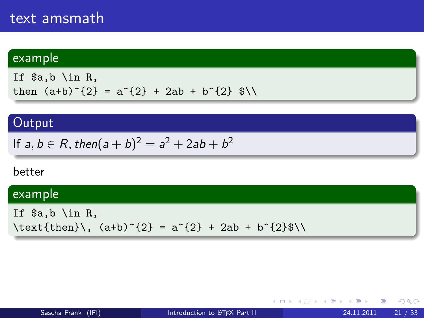#### example

If  $a,b \in \mathbb{R}$ , then  $(a+b)^{2} = a^{2} + 2ab + b^{2} + 2ab$ 

### **Output**

If 
$$
a, b \in R
$$
, then  $(a + b)^2 = a^2 + 2ab + b^2$ 

#### better

#### example

If  $a,b \in \mathbb{R}$ ,  $\text{then}\, (\text{a+b})^{2} = a^{2} + 2ab + b^{2} \$ 

- 4 后 8 - 4 后

4 0 8

 $E = \Omega Q$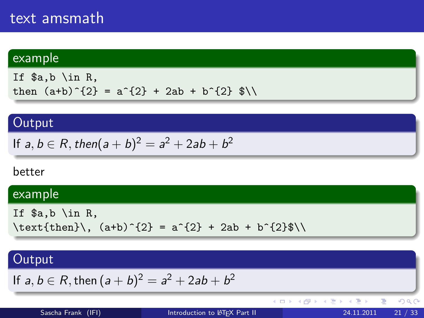### example

If \$a,b \in R, then  $(a+b)^{2} = a^{2} + 2ab + b^{2} + 2ab$ 

### **Output**

If 
$$
a, b \in R
$$
, then  $(a + b)^2 = a^2 + 2ab + b^2$ 

#### better

### example

$$
\begin{array}{ll}\n\text{If } \$a, b \in R, \\
\text{then}\, \, (a+b)^{2} = a^{2} + 2ab + b^{2} \.\n\end{array}
$$

### **Output**

If 
$$
a, b \in R
$$
, then  $(a + b)^2 = a^2 + 2ab + b^2$ 

(ロ) ( d )

重

 $299$ 

K 등 > K 등 >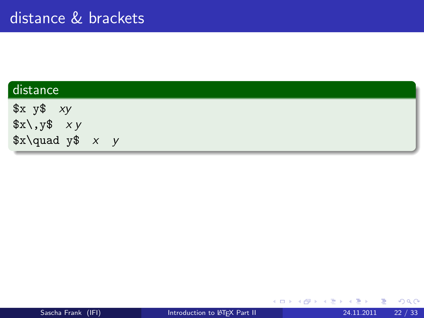| distance                |  |
|-------------------------|--|
| $x \ y$ xy              |  |
| $x\lambda, y\$ xy       |  |
| $x\qquadq u$ ad y\$ x y |  |

э

**K ロ ⊁ K 倒 ≯ K 差 ≯ K**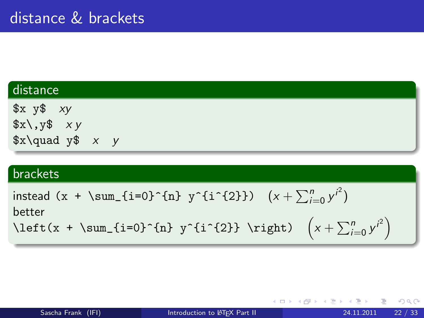### distance

 $x \ y$ \$ xy  $x\rightarrow y$  $x\qquadmath> y \qquad x \qquad y$ 

#### brackets

instead (x + \sum\_{i=0}^{n} y^{i^{2}}) (x + P<sup>n</sup> <sup>i</sup>=0 y i 2 ) better \left(x + \sum\_{i=0}^{n} y^{i^{2}} \right) x + P<sup>n</sup> <sup>i</sup>=0 y i 2 

4 0 8 4

化重新润滑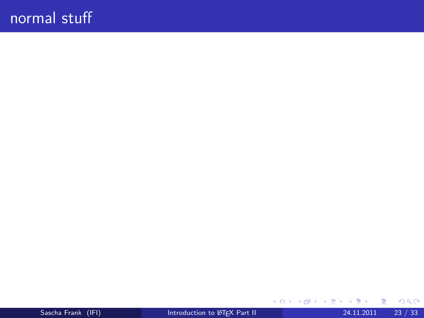$\equiv$  990

メロトメ 伊 トメ 君 トメ 君 ト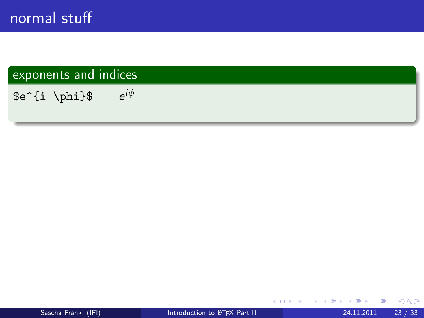\$e^{i \phi}\$ e  $e^{i\phi}$ 

 $\leftarrow$   $\Box$ 

⊣⊢  $\rightarrow$  $\rightarrow$   $\rightarrow$   $\rightarrow$  Þ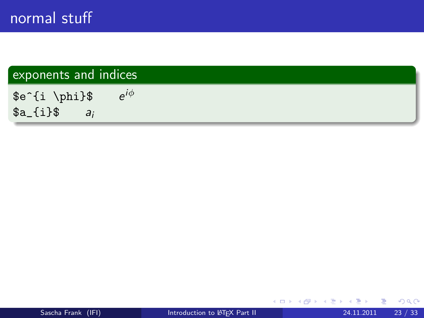\$e^{i \phi}\$ e  $e^{i\phi}$  $a_{i}$ {i}\$  $a_{i}$ 

メロメ メ都 メメ きょくきょ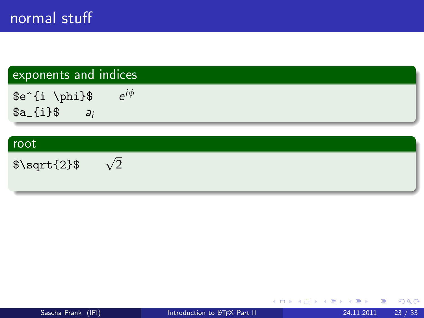\$e^{i \phi}\$ e  $e^{i\phi}$  $a_{i}$ {i}\$  $a_{i}$ 

#### root

\$\sqrt{2}\$ <sup>√</sup>  $\sqrt{2}$ 

**← ロ ▶ → イ 同** 

 $A \equiv 3$ 重 . p

 $\rightarrow$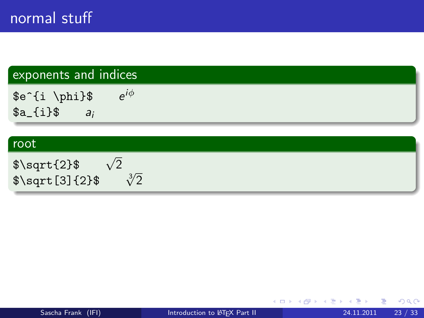\$e^{i \phi}\$ e  $e^{i\phi}$  $a_{i}$ {i}\$  $a_{i}$ 

#### root

| $\sqrt{$\sqrt{2}$}$ | $\sqrt{2}$ |               |
|---------------------|------------|---------------|
| $\sqrt{2}\$         |            | $\sqrt[3]{2}$ |

重 J.

 $4$  ロ }  $4$   $4$   $9$  }  $4$   $\equiv$  }  $-4$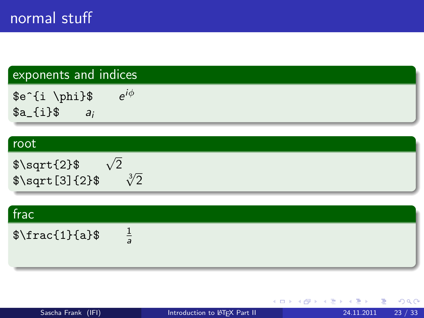\$e^{i \phi}\$ e  $e^{i\phi}$  $a_{i}$ {i}\$  $a_{i}$ 

#### root

| $\sqrt{\sqrt{2}}$ | $\sqrt{2}$ |               |
|-------------------|------------|---------------|
| $\sqrt{2}\$       |            | $\sqrt[3]{2}$ |

| frac          |                |  |  |  |
|---------------|----------------|--|--|--|
| $\frac{1}{a}$ | $\overline{a}$ |  |  |  |
|               |                |  |  |  |

**← ロ ▶ → イ 同** 

 $-4.29 \times 14.$ 重

 $\rightarrow$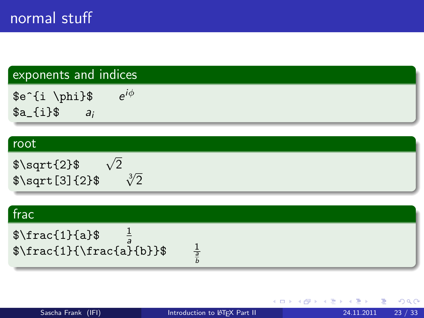\$e^{i \phi}\$ e  $e^{i\phi}$  $a_{i}$   $\{i\}$   $a_{i}$ 

#### root

| $\sqrt{$\sqrt{2}$}$    | $\sqrt{2}$ |               |
|------------------------|------------|---------------|
| $\sqrt{$\sqrt{3}]{2}}$ |            | $\sqrt[3]{2}$ |

### frac

 $\frac{1}{a}$  $\frac{1}{a}$ \$\frac{1}{\frac{a}{b}}\$ <sup>1</sup>

a b

 $298$ 

 $-4.29 + 4.$ 重

**4 ロ ▶ 4 包**  $\rightarrow$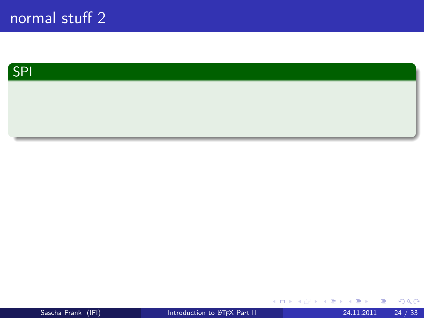

Sascha Frank (IFI) [Introduction to L](#page-0-0)ATEX Part II 24.11.2011 24 / 33

重

 $2990$ 

メロトメ 倒 トメ ミトメ ミト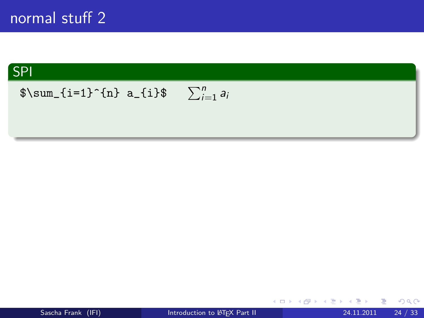

### $\sum_{i=1}^{n} a_i$

$$
\begin{array}{c}\n\ast \quad \bullet \quad \bullet \\
\hline\n24.11.2011 \quad 24 \end{array}
$$

K ロ ▶ K 優 ▶ K 둘 ▶ K 둘 ▶ ...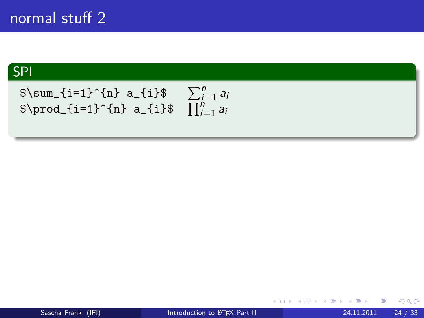$$
\sum_{i=1}^{n} a_{i} \sum_{i=1}^{n} a_{i}
$$
\n
$$
\sum_{i=1}^{n} a_{i} \sum_{i=1}^{n} a_{i}
$$
\n
$$
\prod_{i=1}^{n} a_{i}
$$

メロメ メ都 メメ きょくきょ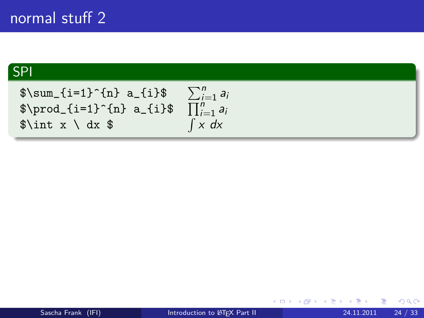$\sum_{i=1}^{n} a_{i}$  $\sum_{i=1}^n a_i$  $\prod_{i=1}^{n} a_i$  a\_{i}\$  $\prod_{i=1}^{n} a_i$  $\int x \ dx$  \$  $\int x dx$ 

4 0 8

 $\rightarrow$   $\rightarrow$   $\rightarrow$ э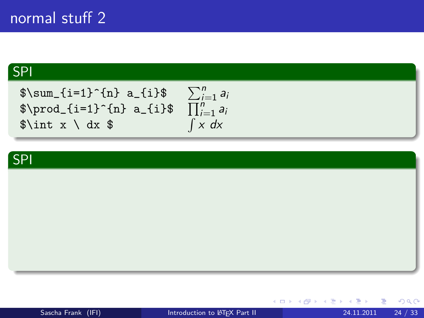$\sum_{i=1}^{n} a_{i}$  $\prod_{i=1}^{n} a_{i}$  $\int x \ dx$  \$

$$
\frac{\sum_{i=1}^{n} a_i}{\prod_{i=1}^{n} a_i}
$$
  

$$
\int x \, dx
$$



 $4.22 \times 4.$ 重

4 0 8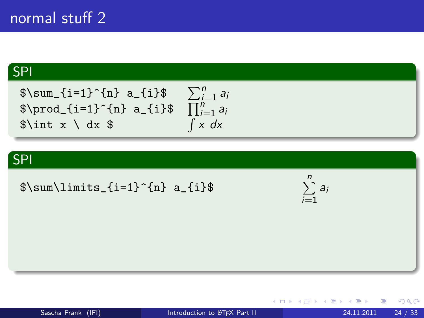$\sum_{i=1}^{n} a_{i}$  $\prod_{i=1}^{n} a_i$  a\_{i}\$  $\prod_{i=1}^{n} a_i$  $\int x \ dx$  \$

## $\sum_{i=1}^n a_i$  $\int x dx$

#### SPI

 $\sum\{i=1}^{n} a_{i}$ 

 $i=1$ ai

4 0 8

Sascha Frank (IFI) **[Introduction to L](#page-0-0)ATEX Part II** 24.11.2011 24 / 33

÷

医高头头

÷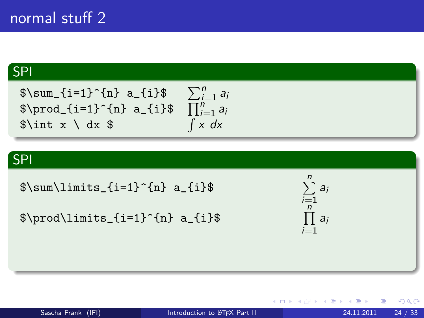$\sum_{i=1}^{n} a_{i}$  $\sum_{i=1}^n a_i$  $\prod_{i=1}^{n} a_i$  a\_{i}\$  $\prod_{i=1}^{n} a_i$  $\int x \ dx$  \$  $\int x dx$ 

### SPI

```
\sum\{i=1}^{n} a_{i}
```

```
\prod\{i=1}^{n} a_{i}
```


4 D F

医电影 化

≘⇒

 $QQQ$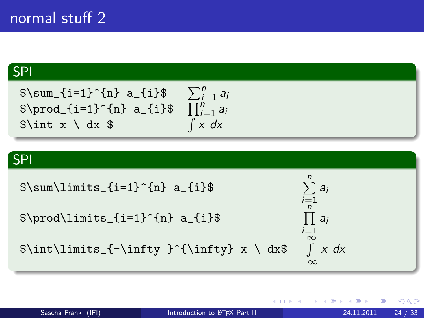$\sum_{i=1}^{n} a_{i}$  $\sum_{i=1}^n a_i$  $\prod_{i=1}^{n} a_i$  a\_{i}\$  $\prod_{i=1}^{n} a_i$  $\int x \ dx$  \$  $\int x dx$ 

#### SPI

$$
\sum_{i=1}^{n} a_{i} = \sum_{i=1}^{n} a_{i}
$$
\n
$$
\sum_{i=1}^{n} a_{i}
$$
\n
$$
\sum_{i=1}^{n} a_{i}
$$
\n
$$
\sum_{i=1}^{n} a_{i}
$$
\n
$$
\sum_{i=1}^{n} a_{i}
$$
\n
$$
\sum_{i=1}^{n} a_{i}
$$
\n
$$
\sum_{i=1}^{n} a_{i}
$$
\n
$$
\sum_{i=1}^{n} a_{i}
$$
\n
$$
\sum_{i=1}^{n} a_{i}
$$

$$
\begin{array}{c}\n\ast \quad \bullet \quad \bullet \\
\hline\n24.11.2011 \quad 24 \end{array}
$$

おぼこわす 悪わり

4 D F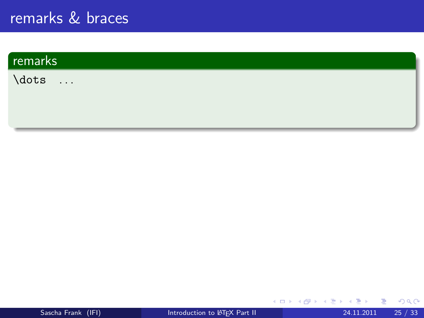# remarks  $\dots$

メロト メ都 トメ ヨ トメ ヨ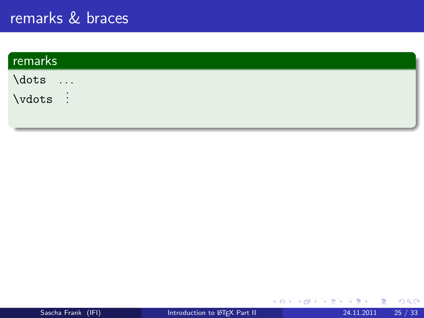| remarks                               |  |
|---------------------------------------|--|
| $\diamond$<br>$\sim 100$ km s $^{-1}$ |  |
| $\vdots$                              |  |

∍

**K ロ ⊁ K 倒 ≯ K 差 ≯ K**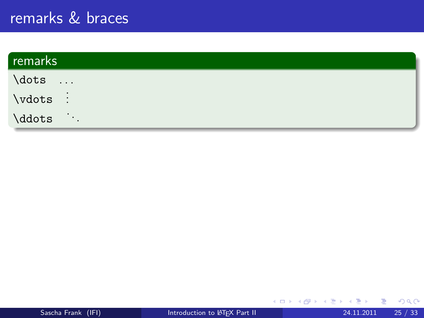| remarks                              |  |
|--------------------------------------|--|
| \dots<br>$\cdots$                    |  |
| $\vdots$                             |  |
| $\mathcal{L}(\mathcal{A})$<br>\ddots |  |

э

**K ロ ⊁ K 倒 ≯ K 差 ≯ K**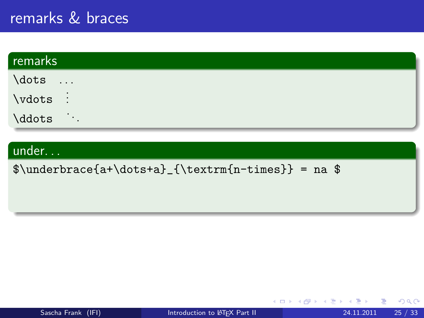| remarks                              |  |
|--------------------------------------|--|
| \dots<br>$\sim$ 100 $\sim$           |  |
| $\vdots$                             |  |
| $\mathcal{O}(\mathcal{E})$<br>\ddots |  |

### under. . .

 $\{\text{n-times}\} = na$ 

4 D.K.

 $\rightarrow$   $\rightarrow$   $\rightarrow$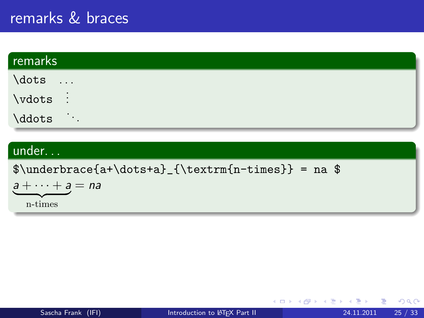| remarks                              |  |
|--------------------------------------|--|
| \dots<br>$\sim$                      |  |
| $\vdots$                             |  |
| $\mathcal{L}(\mathcal{A})$<br>\ddots |  |

#### under. . .

 $\{\text{n-times}\} = na$ 

 $a + \cdots + a = na$ n-times

メロト メ押 トメミト メミ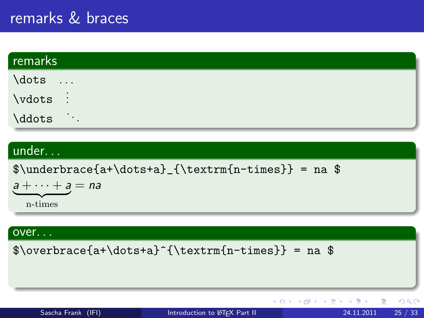| remarks                       |  |
|-------------------------------|--|
| \dots<br>$\sim$ $\sim$ $\sim$ |  |
| $\vdots$                      |  |
| \ddots<br>$\sim$ $\sim$       |  |

### under. . .

 $\{\text{n-times}\} = na$ 

$$
a + \cdots + a = na
$$

#### over. . .

 $\overbrace{a+\dots+a}^{\text{n-times}} = na$ 

| Sascha Frank (IFI) |  |
|--------------------|--|
|                    |  |
|                    |  |

イロト イ母 トイヨ トイヨト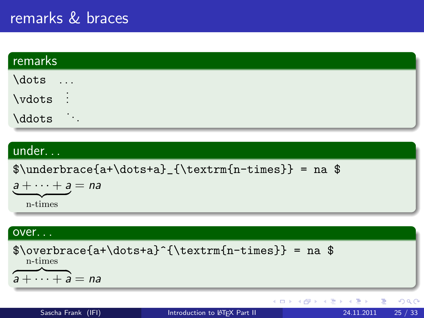| remarks                              |  |
|--------------------------------------|--|
| \dots                                |  |
| $\vdots$                             |  |
| $\mathcal{L}(\mathcal{A})$<br>\ddots |  |

### under. . .

 $\underbrace{\atop{a+\dots+a}_{\text{normal}} = na$ 

$$
a + \cdots + a = na
$$

#### over. . .

 $\overbrace{a+\dots+a}^{\text{n-times}} = na$ n-times  $\overline{a + \cdots + a} = na$  $299$ イロト イ母 トイヨ トイヨト 目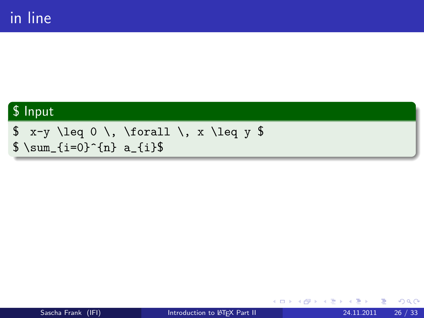### \$ Input

 $$ x-y \leq 0 \, \times \frac{11}{x \leq y}$  $\sum_{i=0}^{n} a_{i}$ 

4 0 8

化医头头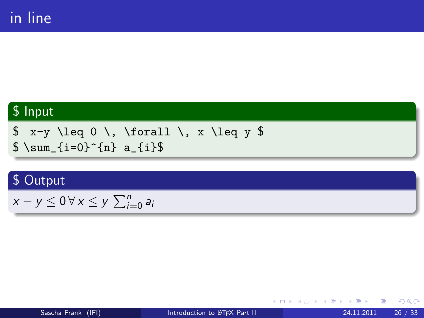### \$ Input

$$
x-y \leq 0 \, \text{for all } x \leq y \
$$
  

$$
sum_{i=0}^{n} a_{i}
$$

### \$ Output

$$
x-y\leq 0\,\forall\,x\leq y\,\sum_{i=0}^n a_i
$$

◆ ロ ▶ → 伊

不同 医牙 重

×

 $2Q$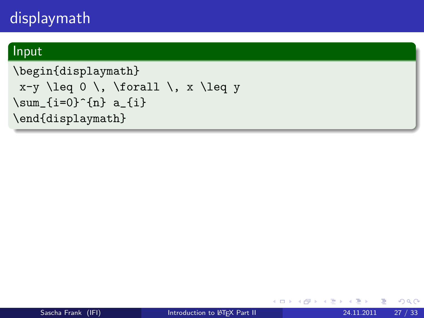### Input

```
\begin{displaymath}
x-y \leq 0 \leq x and \leq x\sum_{i=0}^{n} a_{i}\end{displaymath}
```
 $\rightarrow$   $\rightarrow$   $\rightarrow$ 

÷

4 0 8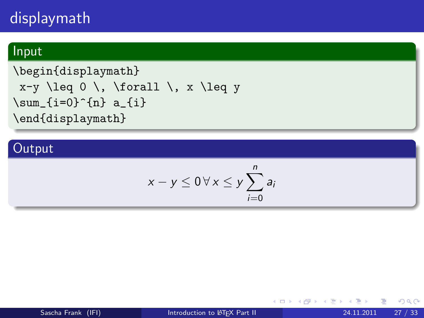### Input

```
\begin{displaymath}
x-y \leq 0 \leq x and \leq x\sum_{i=0}^{n} a_{i}\end{displaymath}
```
### **Output**

$$
x-y\leq 0\,\forall\,x\leq y\sum_{i=0}^n a_i
$$

4 0 8

化医头头

 $QQ$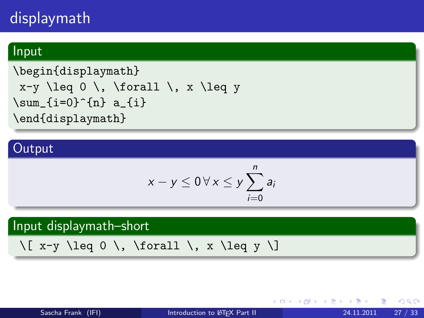### Input

```
\begin{displaymath}
x-y \leq 0 \leq x and x-y \leq 0\sum_{i=0}^{n} a_{i}\end{displaymath}
```
### **Output**

$$
x-y\leq 0\,\forall\,x\leq y\sum_{i=0}^n a_i
$$

### Input displaymath–short

```
\[\begin{array}{c}\x-y \leq 0 \end{array}\], \{ orall \\}, x \leq y \
```
 $QQ$ 

(大唐) 大 唐 )

4 D F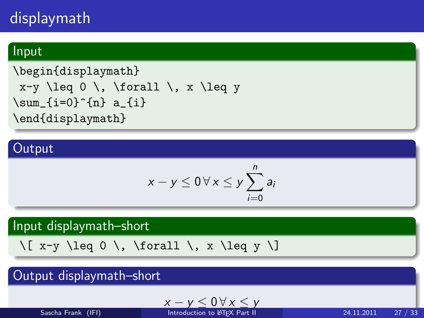### Input

```
\begin{displaymath}
x-y \leq 0 \leq x and x-y \leq 0\sum_{i=0}^{n} a_{i}\end{displaymath}
```
### **Output**

$$
x-y\leq 0\,\forall\,x\leq y\sum_{i=0}^n a_i
$$

### Input displaymath–short

```
\[\begin{array}{c}\x-y \leq 0 \end{array}\], \{ orall \\}, x \leq y \
```
### Output displaymath–short

$$
x-y\leq 0\,\forall\,x\leq y
$$

Sascha Frank (IFI) [Introduction to L](#page-0-0)ATEX Part II 24.11.2011 27 / 33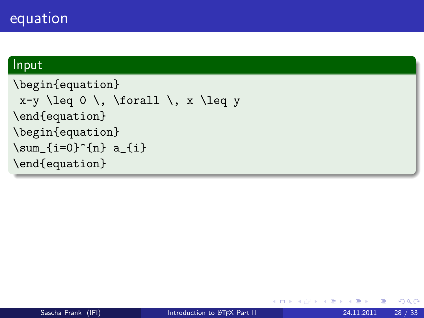### equation

### Input

```
\begin{equation}
x-y \leq 0 \leq x and \leq x\end{equation}
\begin{equation}
\sum_{i=0}^{n} a_{i}\end{equation}
```
4 0 8

4 B K 4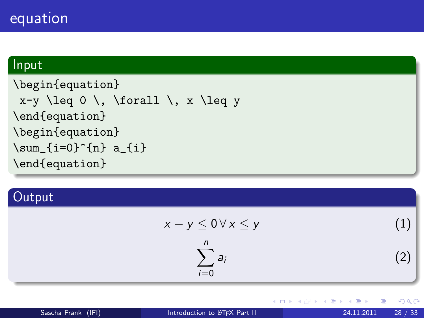### equation

### Input

```
\begin{equation}
x-y \leq 0 \leq x and \leq x\end{equation}
\begin{equation}
\sum_{i=0}^{n} a_{i}\end{equation}
```
### **Output**

$$
x - y \le 0 \forall x \le y \tag{1}
$$
\n
$$
\sum_{i=0}^{n} a_i \tag{2}
$$

4 0 8

Э×.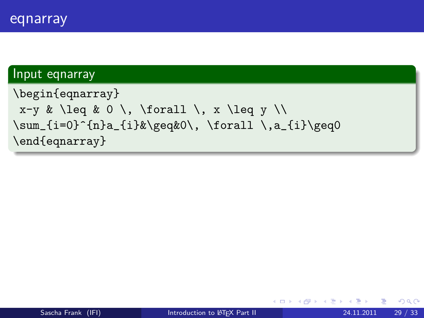### Input eqnarray

```
\begin{eqnarray}
x-y & \leq & 0 \, \forall \, x \leq y \\
\sum_{i=0}^{n}a_{i}&\geq&0\,, \forall \,a_{i}\geq0
\end{eqnarray}
```
4 0 8

 $\rightarrow$   $\rightarrow$   $\rightarrow$ 

 $QQQ$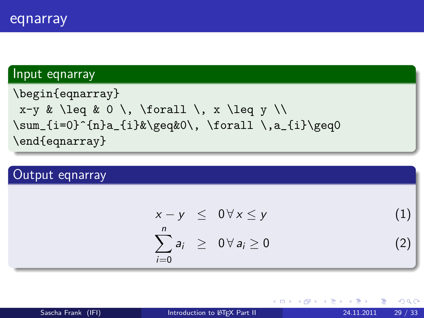### Input eqnarray

```
\begin{eqnarray}
x-y & \leq & 0 \, \forall \, x \leq y \\
\sum_{i=0}^{n}a_{i}k\geq0, \forall \,a_{i}\geq0
\end{eqnarray}
```
### Output eqnarray

$$
x - y \leq 0 \forall x \leq y \tag{1}
$$
\n
$$
\sum_{i=0}^{n} a_i \geq 0 \forall a_i \geq 0 \tag{2}
$$

**∢ ロ ▶ ィ 何** 

 $QQQ$ 

化重新润滑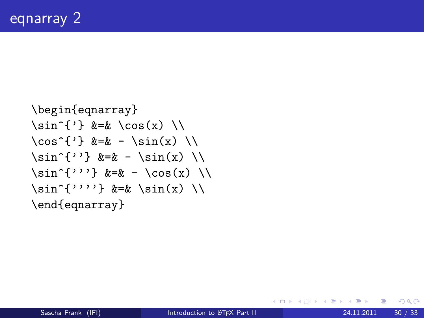```
\begin{eqnarray}
\sin^{-1} &=& \cos(x)\cos^{-1} &=& - \sin(x) \
\sin^{-1} &=& - \sin(x)\sin^{-1} k=k - \cos(x)\sin^{-1}''''} &=& \sin(x)\end{eqnarray}
```
4 D F

医心室 医心室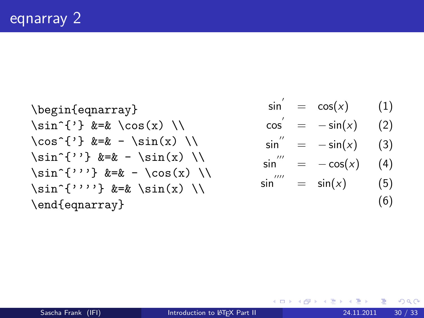\begin{eqnarray} \sin^{'} &=& \cos(x) \\ \cos^{'} &=& - \sin(x) \\ \sin^{''} &=& - \sin(x) \\ \sin^{'''} &=& - \cos(x) \\ \sin^{''''} &=& \sin(x) \\ \end{eqnarray}

$$
\sin' = \cos(x) \qquad (1)
$$

$$
\cos' = -\sin(x) \qquad (2)
$$

$$
\sin'' = -\sin(x) \qquad (3)
$$

$$
\sin^{'''} = -\cos(x) \quad (4)
$$

$$
\sin''' = \sin(x) \qquad (5)
$$
\n(6)

メロト メ都 トメ ヨ トメ ヨト

 $2990$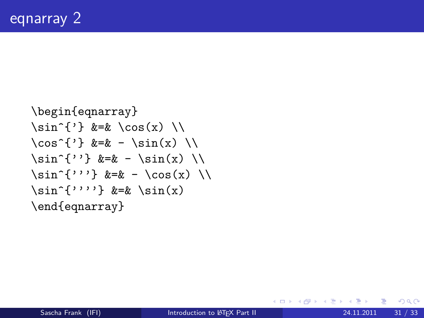```
\begin{eqnarray}
\sin^{-1} &=& \cos(x)\cos^{-1} &=& - \sin(x)\sin^{-1} &=& - \sin(x)\sin^{-1}''} k=k - \cos(x)\sin^{-1}'''} &=& \sin(x)\end{eqnarray}
```
4 D F

医心室 医心室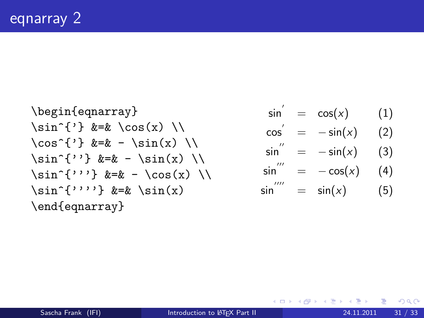\begin{eqnarray} \sin^{'} &=& \cos(x) \\ \cos^{'} &=& - \sin(x) \\ \sin^{''} &=& - \sin(x) \\ \sin^{'''} &=& - \cos(x) \\ \sin^{''''} &=& \sin(x) \end{eqnarray}

$$
\sin' = \cos(x) \qquad (1)
$$

$$
\cos' = -\sin(x) \qquad (2)
$$

$$
\sin'' = -\sin(x) \qquad (3)
$$

$$
\sin^{'''} = -\cos(x) \qquad (4)
$$

$$
\sin^{***} = \sin(x) \quad (5)
$$

メロト メ都 トメ ヨ トメ ヨト

 $2990$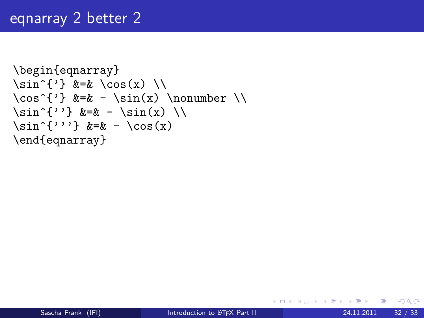## eqnarray 2 better 2

```
\begin{eqnarray}
\sin^{-1} &=& \cos(x) \
\cos^{-1} &=& - \sin(x) \nonumber \nonumber \\
\sin^{-1} k=k - \sin(x)\sin^{-1} k=k - \cos(x)\end{eqnarray}
```
4 0 8

**K 何 ▶ 【 ヨ ▶ 【**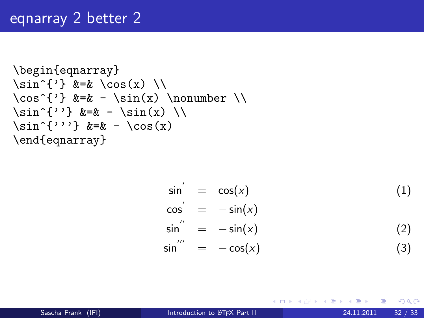## eqnarray 2 better 2

```
\begin{eqnarray}
\sin^{-1} &=& \cos(x) \
\cos^{-1} &=& - \sin(x) \nonumber \nonumber \\
\sin^{-1} &=& - \sin(x) \\
\sin^{-1} k=k - \cos(x)\end{eqnarray}
```

$$
\sin' = \cos(x) \tag{1}
$$
\n
$$
\cos' = -\sin(x) \tag{2}
$$
\n
$$
\sin'' = -\sin(x) \tag{2}
$$
\n
$$
\sin'' = -\cos(x) \tag{3}
$$

イロト イ押ト イヨト イヨト